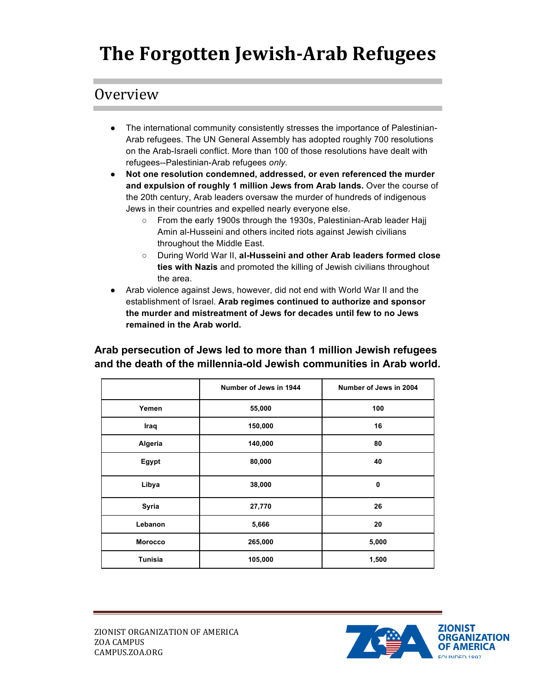# **The Forgotten Jewish-Arab Refugees**

# Overview

- The international community consistently stresses the importance of Palestinian-Arab refugees. The UN General Assembly has adopted roughly 700 resolutions on the Arab-Israeli conflict. More than 100 of those resolutions have dealt with refugees--Palestinian-Arab refugees *only*.
- **Not one resolution condemned, addressed, or even referenced the murder and expulsion of roughly 1 million Jews from Arab lands.** Over the course of the 20th century, Arab leaders oversaw the murder of hundreds of indigenous Jews in their countries and expelled nearly everyone else.
	- From the early 1900s through the 1930s, Palestinian-Arab leader Hajj Amin al-Husseini and others incited riots against Jewish civilians throughout the Middle East.
	- During World War II, **al-Husseini and other Arab leaders formed close ties with Nazis** and promoted the killing of Jewish civilians throughout the area.
- Arab violence against Jews, however, did not end with World War II and the establishment of Israel. **Arab regimes continued to authorize and sponsor the murder and mistreatment of Jews for decades until few to no Jews remained in the Arab world.**

#### **Arab persecution of Jews led to more than 1 million Jewish refugees and the death of the millennia-old Jewish communities in Arab world.**

|                | Number of Jews in 1944 | Number of Jews in 2004 |
|----------------|------------------------|------------------------|
| Yemen          | 55,000                 | 100                    |
| Iraq           | 150,000                | 16                     |
| Algeria        | 140,000                | 80                     |
| Egypt          | 80,000                 | 40                     |
| Libya          | 38,000                 | 0                      |
| Syria          | 27,770                 | 26                     |
| Lebanon        | 5,666                  | 20                     |
| <b>Morocco</b> | 265,000                | 5,000                  |
| <b>Tunisia</b> | 105,000                | 1,500                  |